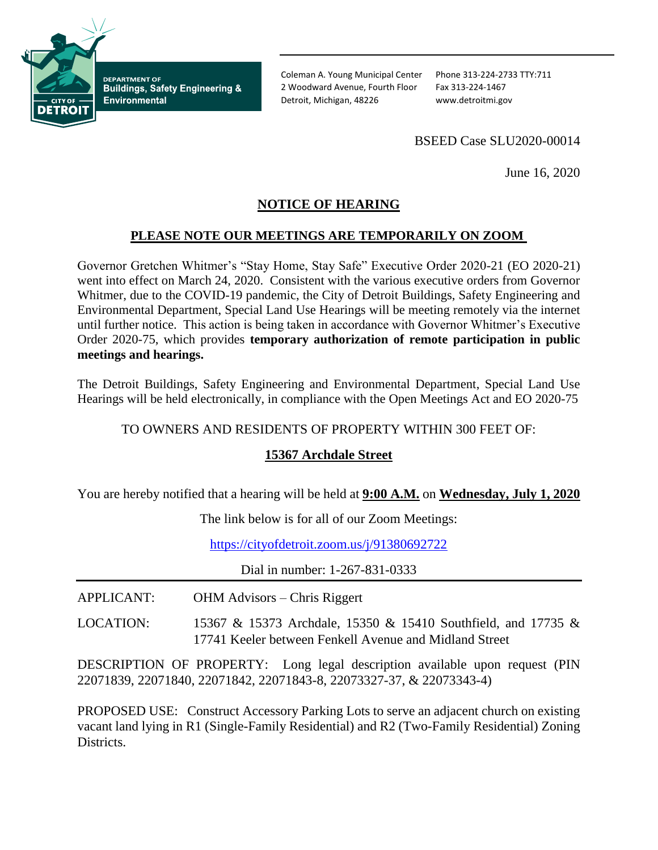

**DEPARTMENT OF Buildings, Safety Engineering & Environmental** 

Coleman A. Young Municipal Center Phone 313-224-2733 TTY:711 2 Woodward Avenue, Fourth Floor Fax 313-224-1467 Detroit, Michigan, 48226 www.detroitmi.gov

## BSEED Case SLU2020-00014

June 16, 2020

# **NOTICE OF HEARING**

#### **PLEASE NOTE OUR MEETINGS ARE TEMPORARILY ON ZOOM**

Governor Gretchen Whitmer's "Stay Home, Stay Safe" Executive Order 2020-21 (EO 2020-21) went into effect on March 24, 2020. Consistent with the various executive orders from Governor Whitmer, due to the COVID-19 pandemic, the City of Detroit Buildings, Safety Engineering and Environmental Department, Special Land Use Hearings will be meeting remotely via the internet until further notice. This action is being taken in accordance with Governor Whitmer's Executive Order 2020-75, which provides **temporary authorization of remote participation in public meetings and hearings.**

The Detroit Buildings, Safety Engineering and Environmental Department, Special Land Use Hearings will be held electronically, in compliance with the Open Meetings Act and EO 2020-75

TO OWNERS AND RESIDENTS OF PROPERTY WITHIN 300 FEET OF:

### **15367 Archdale Street**

You are hereby notified that a hearing will be held at **9:00 A.M.** on **Wednesday, July 1, 2020**

The link below is for all of our Zoom Meetings:

<https://cityofdetroit.zoom.us/j/91380692722>

Dial in number: 1-267-831-0333

- APPLICANT: OHM Advisors Chris Riggert
- LOCATION: 15367 & 15373 Archdale, 15350 & 15410 Southfield, and 17735 & 17741 Keeler between Fenkell Avenue and Midland Street

DESCRIPTION OF PROPERTY: Long legal description available upon request (PIN 22071839, 22071840, 22071842, 22071843-8, 22073327-37, & 22073343-4)

PROPOSED USE: Construct Accessory Parking Lots to serve an adjacent church on existing vacant land lying in R1 (Single-Family Residential) and R2 (Two-Family Residential) Zoning Districts.